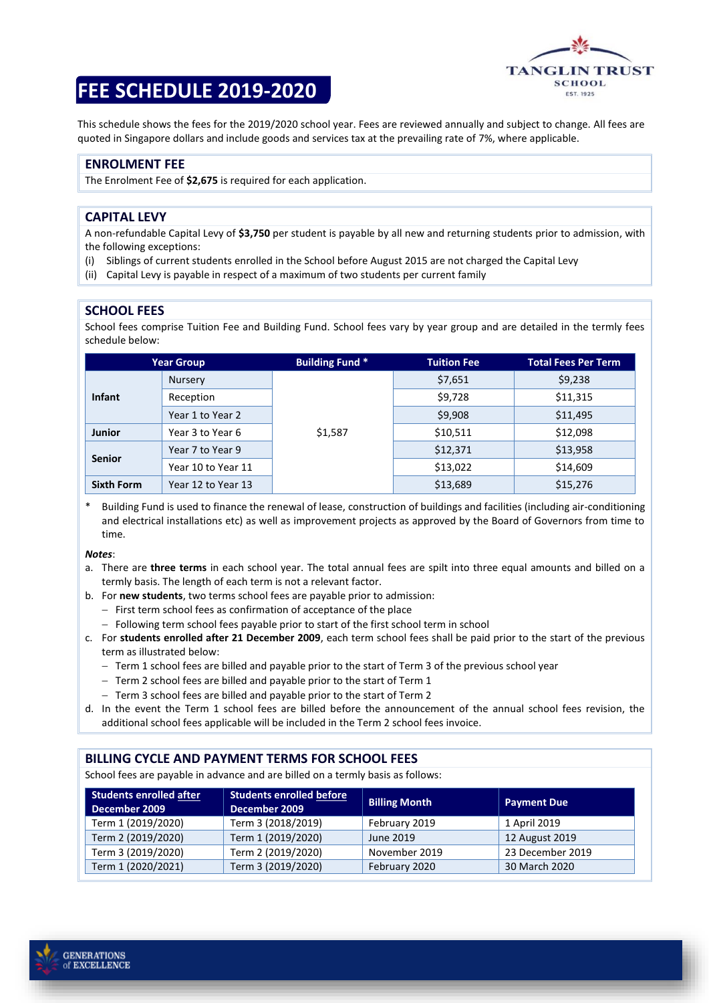

# **FEE SCHEDULE 2019-2020**

This schedule shows the fees for the 2019/2020 school year. Fees are reviewed annually and subject to change. All fees are quoted in Singapore dollars and include goods and services tax at the prevailing rate of 7%, where applicable.

## **ENROLMENT FEE**

The Enrolment Fee of **\$2,675** is required for each application.

#### **CAPITAL LEVY**

A non-refundable Capital Levy of **\$3,750** per student is payable by all new and returning students prior to admission, with the following exceptions:

- (i) Siblings of current students enrolled in the School before August 2015 are not charged the Capital Levy
- (ii) Capital Levy is payable in respect of a maximum of two students per current family

#### **SCHOOL FEES**

School fees comprise Tuition Fee and Building Fund. School fees vary by year group and are detailed in the termly fees schedule below:

| <b>Year Group</b> |                    | <b>Building Fund *</b> | <b>Tuition Fee</b> | <b>Total Fees Per Term</b> |
|-------------------|--------------------|------------------------|--------------------|----------------------------|
| <b>Infant</b>     | <b>Nursery</b>     | \$1,587                | \$7,651            | \$9,238                    |
|                   | Reception          |                        | \$9,728            | \$11,315                   |
|                   | Year 1 to Year 2   |                        | \$9,908            | \$11,495                   |
| <b>Junior</b>     | Year 3 to Year 6   |                        | \$10,511           | \$12,098                   |
| <b>Senior</b>     | Year 7 to Year 9   |                        | \$12,371           | \$13,958                   |
|                   | Year 10 to Year 11 |                        | \$13,022           | \$14,609                   |
| <b>Sixth Form</b> | Year 12 to Year 13 |                        | \$13,689           | \$15,276                   |

Building Fund is used to finance the renewal of lease, construction of buildings and facilities (including air-conditioning and electrical installations etc) as well as improvement projects as approved by the Board of Governors from time to time.

*Notes*:

- a. There are **three terms** in each school year. The total annual fees are spilt into three equal amounts and billed on a termly basis. The length of each term is not a relevant factor.
- b. For **new students**, two terms school fees are payable prior to admission:
	- − First term school fees as confirmation of acceptance of the place
	- − Following term school fees payable prior to start of the first school term in school
- c. For **students enrolled after 21 December 2009**, each term school fees shall be paid prior to the start of the previous term as illustrated below:
	- − Term 1 school fees are billed and payable prior to the start of Term 3 of the previous school year
	- − Term 2 school fees are billed and payable prior to the start of Term 1
	- − Term 3 school fees are billed and payable prior to the start of Term 2
- d. In the event the Term 1 school fees are billed before the announcement of the annual school fees revision, the additional school fees applicable will be included in the Term 2 school fees invoice.

### **BILLING CYCLE AND PAYMENT TERMS FOR SCHOOL FEES**

School fees are payable in advance and are billed on a termly basis as follows:

| <b>Students enrolled after</b><br>December 2009 | <b>Students enrolled before</b><br>December 2009 | <b>Billing Month</b> | <b>Payment Due</b> |
|-------------------------------------------------|--------------------------------------------------|----------------------|--------------------|
| Term 1 (2019/2020)                              | Term 3 (2018/2019)                               | February 2019        | 1 April 2019       |
| Term 2 (2019/2020)                              | Term 1 (2019/2020)                               | June 2019            | 12 August 2019     |
| Term 3 (2019/2020)                              | Term 2 (2019/2020)                               | November 2019        | 23 December 2019   |
| Term 1 (2020/2021)                              | Term 3 (2019/2020)                               | February 2020        | 30 March 2020      |

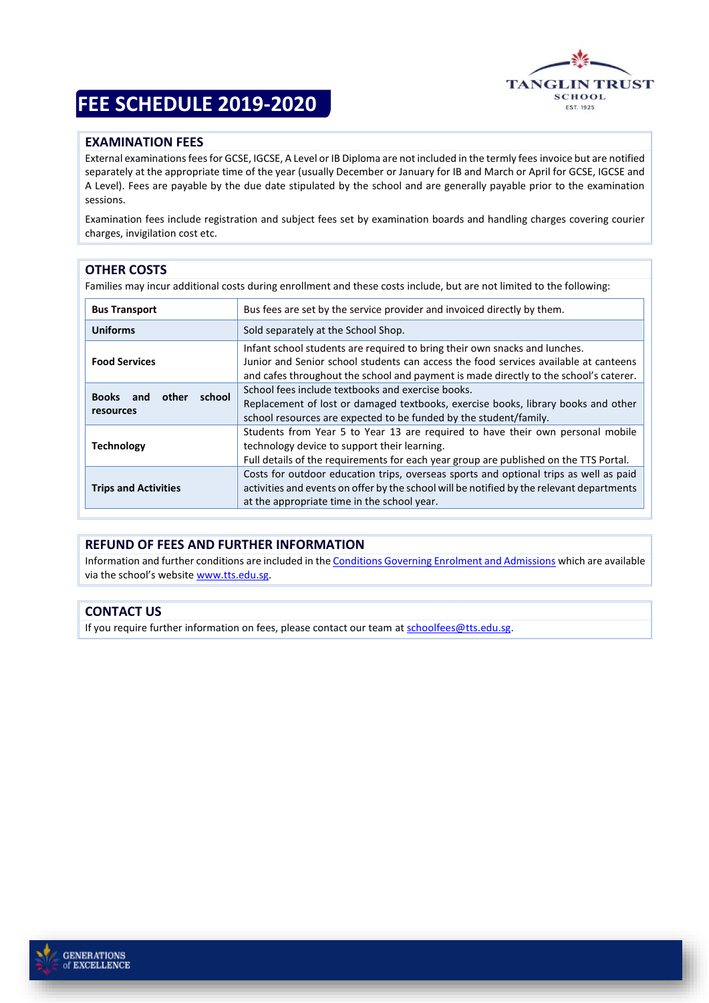# **FEE SCHEDULE 2019-2020**



# **EXAMINATION FEES**

External examinations fees for GCSE, IGCSE, A Level or IB Diploma are not included in the termly fees invoice but are notified separately at the appropriate time of the year (usually December or January for IB and March or April for GCSE, IGCSE and A Level). Fees are payable by the due date stipulated by the school and are generally payable prior to the examination sessions.

Examination fees include registration and subject fees set by examination boards and handling charges covering courier charges, invigilation cost etc.

# **OTHER COSTS**

Families may incur additional costs during enrollment and these costs include, but are not limited to the following:

| <b>Bus Transport</b>                                | Bus fees are set by the service provider and invoiced directly by them.                                                                                                                                                                                     |  |  |
|-----------------------------------------------------|-------------------------------------------------------------------------------------------------------------------------------------------------------------------------------------------------------------------------------------------------------------|--|--|
| <b>Uniforms</b>                                     | Sold separately at the School Shop.                                                                                                                                                                                                                         |  |  |
| <b>Food Services</b>                                | Infant school students are required to bring their own snacks and lunches.<br>Junior and Senior school students can access the food services available at canteens<br>and cafes throughout the school and payment is made directly to the school's caterer. |  |  |
| school<br><b>Books</b><br>other<br>and<br>resources | School fees include textbooks and exercise books.<br>Replacement of lost or damaged textbooks, exercise books, library books and other<br>school resources are expected to be funded by the student/family.                                                 |  |  |
| <b>Technology</b>                                   | Students from Year 5 to Year 13 are required to have their own personal mobile<br>technology device to support their learning.<br>Full details of the requirements for each year group are published on the TTS Portal.                                     |  |  |
| <b>Trips and Activities</b>                         | Costs for outdoor education trips, overseas sports and optional trips as well as paid<br>activities and events on offer by the school will be notified by the relevant departments<br>at the appropriate time in the school year.                           |  |  |

# **REFUND OF FEES AND FURTHER INFORMATION**

Information and further conditions are included in th[e Conditions Governing Enrolment and Admissions](https://www.tts.edu.sg/uploaded/documents/admissions/conditions_governing_enrolment_and_admissions_rev_after_Dec09.pdf) which are available via the school's website [www.tts.edu.sg.](http://www.tts.edu.sg/)

### **CONTACT US**

If you require further information on fees, please contact our team a[t schoolfees@tts.edu.sg.](mailto:schoolfees@tts.edu.sg)